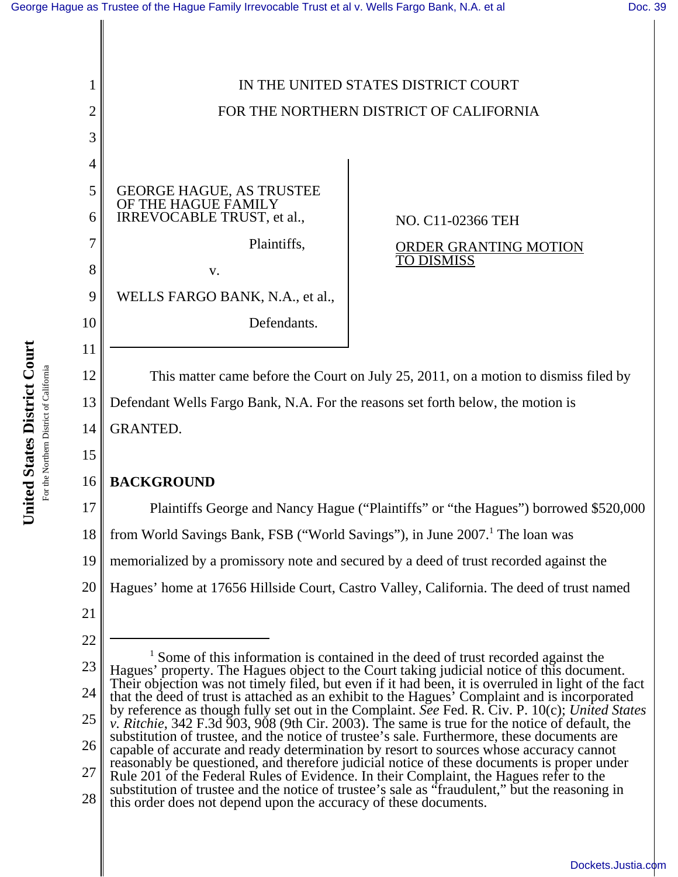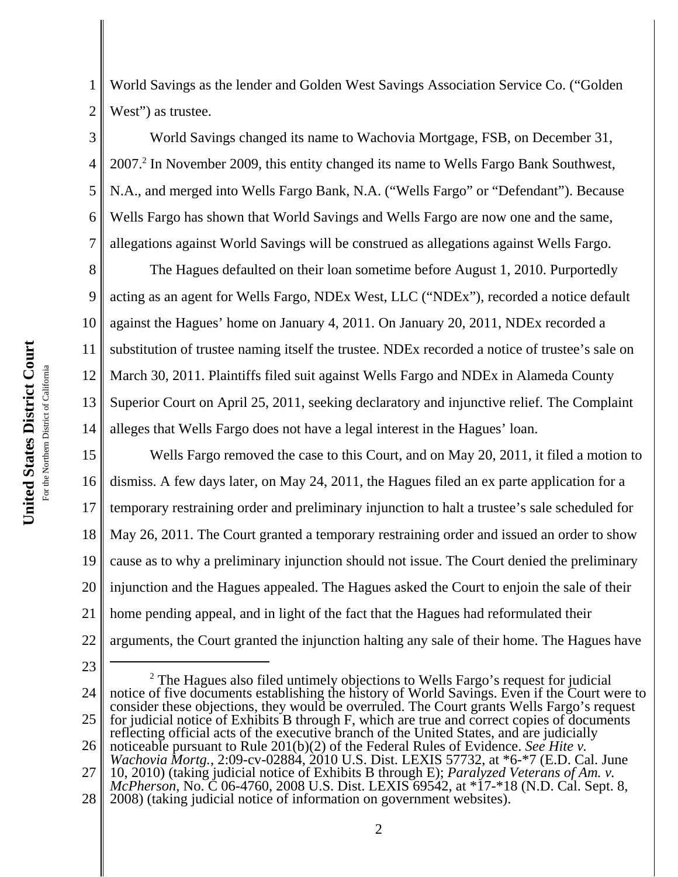1 2 World Savings as the lender and Golden West Savings Association Service Co. ("Golden West") as trustee.

3 4 5 6 7 World Savings changed its name to Wachovia Mortgage, FSB, on December 31, 2007.<sup>2</sup> In November 2009, this entity changed its name to Wells Fargo Bank Southwest, N.A., and merged into Wells Fargo Bank, N.A. ("Wells Fargo" or "Defendant"). Because Wells Fargo has shown that World Savings and Wells Fargo are now one and the same, allegations against World Savings will be construed as allegations against Wells Fargo.

8 9 10 11 12 13 14 The Hagues defaulted on their loan sometime before August 1, 2010. Purportedly acting as an agent for Wells Fargo, NDEx West, LLC ("NDEx"), recorded a notice default against the Hagues' home on January 4, 2011. On January 20, 2011, NDEx recorded a substitution of trustee naming itself the trustee. NDEx recorded a notice of trustee's sale on March 30, 2011. Plaintiffs filed suit against Wells Fargo and NDEx in Alameda County Superior Court on April 25, 2011, seeking declaratory and injunctive relief. The Complaint alleges that Wells Fargo does not have a legal interest in the Hagues' loan.

15 16 17 18 19 20 21 22 Wells Fargo removed the case to this Court, and on May 20, 2011, it filed a motion to dismiss. A few days later, on May 24, 2011, the Hagues filed an ex parte application for a temporary restraining order and preliminary injunction to halt a trustee's sale scheduled for May 26, 2011. The Court granted a temporary restraining order and issued an order to show cause as to why a preliminary injunction should not issue. The Court denied the preliminary injunction and the Hagues appealed. The Hagues asked the Court to enjoin the sale of their home pending appeal, and in light of the fact that the Hagues had reformulated their arguments, the Court granted the injunction halting any sale of their home. The Hagues have

23

<sup>24</sup> 25 <sup>2</sup> The Hagues also filed untimely objections to Wells Fargo's request for judicial notice of five documents establishing the history of World Savings. Even if the Court were to consider these objections, they would be overruled. The Court grants Wells Fargo's request for judicial notice of Exhibits B through F, which are true and correct copies of documents reflecting official acts of the executive branch of the United States, and are judicially

<sup>26</sup> 27 noticeable pursuant to Rule 201(b)(2) of the Federal Rules of Evidence. *See Hite v. Wachovia Mortg.*, 2:09-cv-02884, 2010 U.S. Dist. LEXIS 57732, at \*6-\*7 (E.D. Cal. June 10, 2010) (taking judicial notice of Exhibits B through E); *Paralyzed Veterans of Am. v. McPherson*, No. C 06-4760, 2008 U.S. Dist. LEXIS 69542, at \*17-\*18 (N.D. Cal. Sept. 8,

<sup>28</sup> 2008) (taking judicial notice of information on government websites).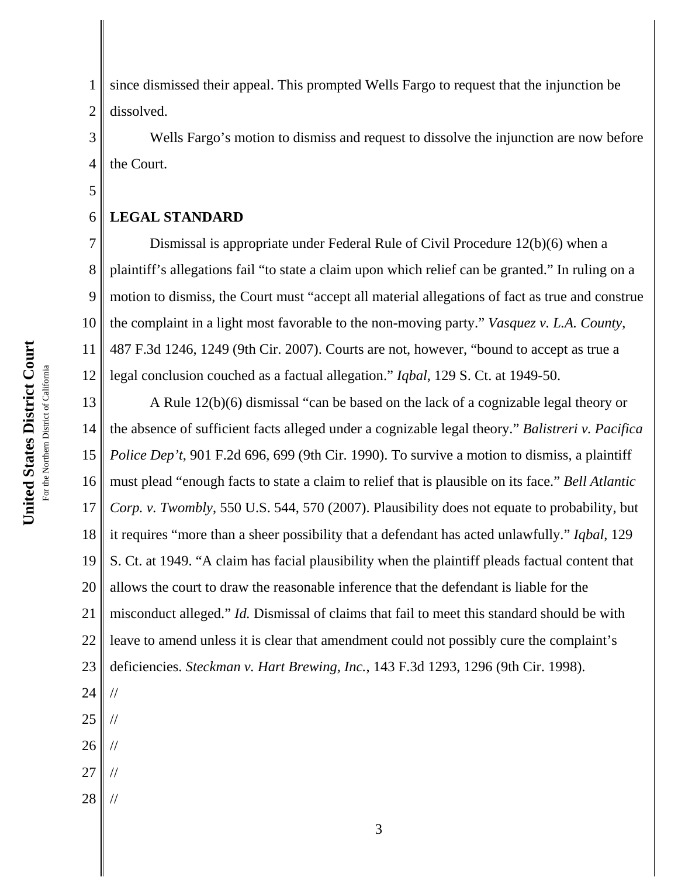1 2 since dismissed their appeal. This prompted Wells Fargo to request that the injunction be dissolved.

3 4 Wells Fargo's motion to dismiss and request to dissolve the injunction are now before the Court.

#### 6 **LEGAL STANDARD**

5

7 8 9 10 11 12 Dismissal is appropriate under Federal Rule of Civil Procedure 12(b)(6) when a plaintiff's allegations fail "to state a claim upon which relief can be granted." In ruling on a motion to dismiss, the Court must "accept all material allegations of fact as true and construe the complaint in a light most favorable to the non-moving party." *Vasquez v. L.A. County*, 487 F.3d 1246, 1249 (9th Cir. 2007). Courts are not, however, "bound to accept as true a legal conclusion couched as a factual allegation." *Iqbal*, 129 S. Ct. at 1949-50.

13 14 15 16 17 18 19 20 21 22 23 A Rule 12(b)(6) dismissal "can be based on the lack of a cognizable legal theory or the absence of sufficient facts alleged under a cognizable legal theory." *Balistreri v. Pacifica Police Dep't*, 901 F.2d 696, 699 (9th Cir. 1990). To survive a motion to dismiss, a plaintiff must plead "enough facts to state a claim to relief that is plausible on its face." *Bell Atlantic Corp. v. Twombly*, 550 U.S. 544, 570 (2007). Plausibility does not equate to probability, but it requires "more than a sheer possibility that a defendant has acted unlawfully." *Iqbal*, 129 S. Ct. at 1949. "A claim has facial plausibility when the plaintiff pleads factual content that allows the court to draw the reasonable inference that the defendant is liable for the misconduct alleged." *Id.* Dismissal of claims that fail to meet this standard should be with leave to amend unless it is clear that amendment could not possibly cure the complaint's deficiencies. *Steckman v. Hart Brewing, Inc.*, 143 F.3d 1293, 1296 (9th Cir. 1998).

- 24 25 // //
- 26 //
- 27 //
- 28 //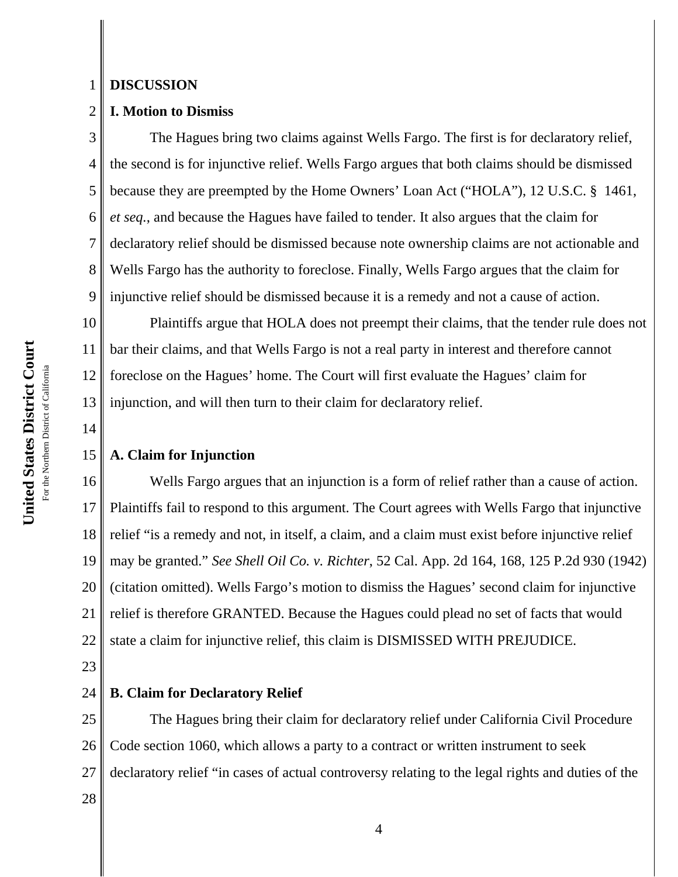#### 1 **DISCUSSION**

# 2 **I. Motion to Dismiss**

3 4 5 6 7 8 9 The Hagues bring two claims against Wells Fargo. The first is for declaratory relief, the second is for injunctive relief. Wells Fargo argues that both claims should be dismissed because they are preempted by the Home Owners' Loan Act ("HOLA"), 12 U.S.C. § 1461, *et seq.*, and because the Hagues have failed to tender. It also argues that the claim for declaratory relief should be dismissed because note ownership claims are not actionable and Wells Fargo has the authority to foreclose. Finally, Wells Fargo argues that the claim for injunctive relief should be dismissed because it is a remedy and not a cause of action.

10 11 12 13 Plaintiffs argue that HOLA does not preempt their claims, that the tender rule does not bar their claims, and that Wells Fargo is not a real party in interest and therefore cannot foreclose on the Hagues' home. The Court will first evaluate the Hagues' claim for injunction, and will then turn to their claim for declaratory relief.

## 15 **A. Claim for Injunction**

16 17 18 19 20 21 22 Wells Fargo argues that an injunction is a form of relief rather than a cause of action. Plaintiffs fail to respond to this argument. The Court agrees with Wells Fargo that injunctive relief "is a remedy and not, in itself, a claim, and a claim must exist before injunctive relief may be granted." *See Shell Oil Co. v. Richter*, 52 Cal. App. 2d 164, 168, 125 P.2d 930 (1942) (citation omitted). Wells Fargo's motion to dismiss the Hagues' second claim for injunctive relief is therefore GRANTED. Because the Hagues could plead no set of facts that would state a claim for injunctive relief, this claim is DISMISSED WITH PREJUDICE.

23

14

#### 24 **B. Claim for Declaratory Relief**

25 26 27 The Hagues bring their claim for declaratory relief under California Civil Procedure Code section 1060, which allows a party to a contract or written instrument to seek declaratory relief "in cases of actual controversy relating to the legal rights and duties of the

28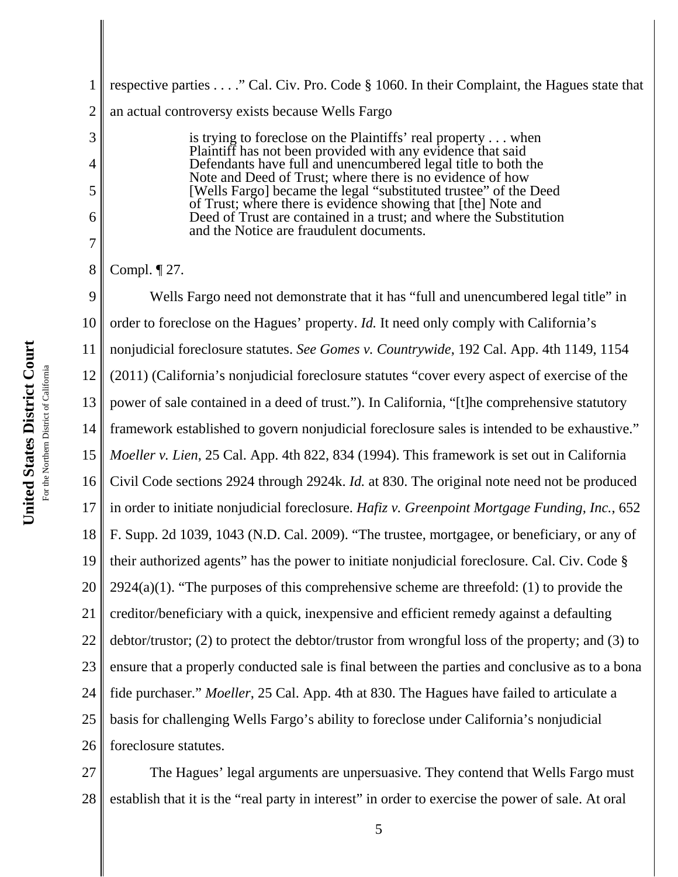1 2 respective parties . . . ." Cal. Civ. Pro. Code § 1060. In their Complaint, the Hagues state that an actual controversy exists because Wells Fargo

> is trying to foreclose on the Plaintiffs' real property . . . when Plaintiff has not been provided with any evidence that said Defendants have full and unencumbered legal title to both the Note and Deed of Trust; where there is no evidence of how [Wells Fargo] became the legal "substituted trustee" of the Deed of Trust; where there is evidence showing that [the] Note and Deed of Trust are contained in a trust; and where the Substitution and the Notice are fraudulent documents.

8 Compl. ¶ 27.

3

4

5

6

7

9 10 11 12 13 14 15 16 17 18 19 20 21 22 23 24 25 26 Wells Fargo need not demonstrate that it has "full and unencumbered legal title" in order to foreclose on the Hagues' property. *Id.* It need only comply with California's nonjudicial foreclosure statutes. *See Gomes v. Countrywide*, 192 Cal. App. 4th 1149, 1154 (2011) (California's nonjudicial foreclosure statutes "cover every aspect of exercise of the power of sale contained in a deed of trust."). In California, "[t]he comprehensive statutory framework established to govern nonjudicial foreclosure sales is intended to be exhaustive." *Moeller v. Lien*, 25 Cal. App. 4th 822, 834 (1994). This framework is set out in California Civil Code sections 2924 through 2924k. *Id.* at 830. The original note need not be produced in order to initiate nonjudicial foreclosure. *Hafiz v. Greenpoint Mortgage Funding, Inc.*, 652 F. Supp. 2d 1039, 1043 (N.D. Cal. 2009). "The trustee, mortgagee, or beneficiary, or any of their authorized agents" has the power to initiate nonjudicial foreclosure. Cal. Civ. Code §  $2924(a)(1)$ . "The purposes of this comprehensive scheme are threefold: (1) to provide the creditor/beneficiary with a quick, inexpensive and efficient remedy against a defaulting debtor/trustor; (2) to protect the debtor/trustor from wrongful loss of the property; and (3) to ensure that a properly conducted sale is final between the parties and conclusive as to a bona fide purchaser." *Moeller*, 25 Cal. App. 4th at 830. The Hagues have failed to articulate a basis for challenging Wells Fargo's ability to foreclose under California's nonjudicial foreclosure statutes.

27 28 The Hagues' legal arguments are unpersuasive. They contend that Wells Fargo must establish that it is the "real party in interest" in order to exercise the power of sale. At oral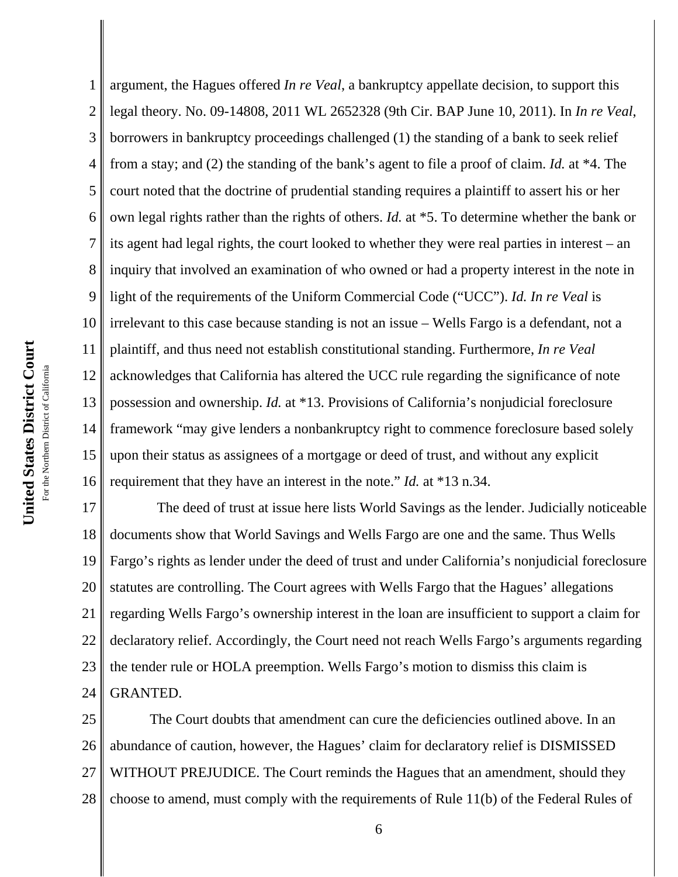1 2 3 4 5 6 7 8 9 10 11 12 13 14 15 16 argument, the Hagues offered *In re Veal*, a bankruptcy appellate decision, to support this legal theory. No. 09-14808, 2011 WL 2652328 (9th Cir. BAP June 10, 2011). In *In re Veal*, borrowers in bankruptcy proceedings challenged (1) the standing of a bank to seek relief from a stay; and (2) the standing of the bank's agent to file a proof of claim. *Id.* at \*4. The court noted that the doctrine of prudential standing requires a plaintiff to assert his or her own legal rights rather than the rights of others. *Id.* at \*5. To determine whether the bank or its agent had legal rights, the court looked to whether they were real parties in interest – an inquiry that involved an examination of who owned or had a property interest in the note in light of the requirements of the Uniform Commercial Code ("UCC"). *Id. In re Veal* is irrelevant to this case because standing is not an issue – Wells Fargo is a defendant, not a plaintiff, and thus need not establish constitutional standing. Furthermore, *In re Veal* acknowledges that California has altered the UCC rule regarding the significance of note possession and ownership. *Id.* at \*13. Provisions of California's nonjudicial foreclosure framework "may give lenders a nonbankruptcy right to commence foreclosure based solely upon their status as assignees of a mortgage or deed of trust, and without any explicit requirement that they have an interest in the note." *Id.* at \*13 n.34.

17 18 19 20 21 22 23 24 The deed of trust at issue here lists World Savings as the lender. Judicially noticeable documents show that World Savings and Wells Fargo are one and the same. Thus Wells Fargo's rights as lender under the deed of trust and under California's nonjudicial foreclosure statutes are controlling. The Court agrees with Wells Fargo that the Hagues' allegations regarding Wells Fargo's ownership interest in the loan are insufficient to support a claim for declaratory relief. Accordingly, the Court need not reach Wells Fargo's arguments regarding the tender rule or HOLA preemption. Wells Fargo's motion to dismiss this claim is GRANTED.

25 26 27 28 The Court doubts that amendment can cure the deficiencies outlined above. In an abundance of caution, however, the Hagues' claim for declaratory relief is DISMISSED WITHOUT PREJUDICE. The Court reminds the Hagues that an amendment, should they choose to amend, must comply with the requirements of Rule 11(b) of the Federal Rules of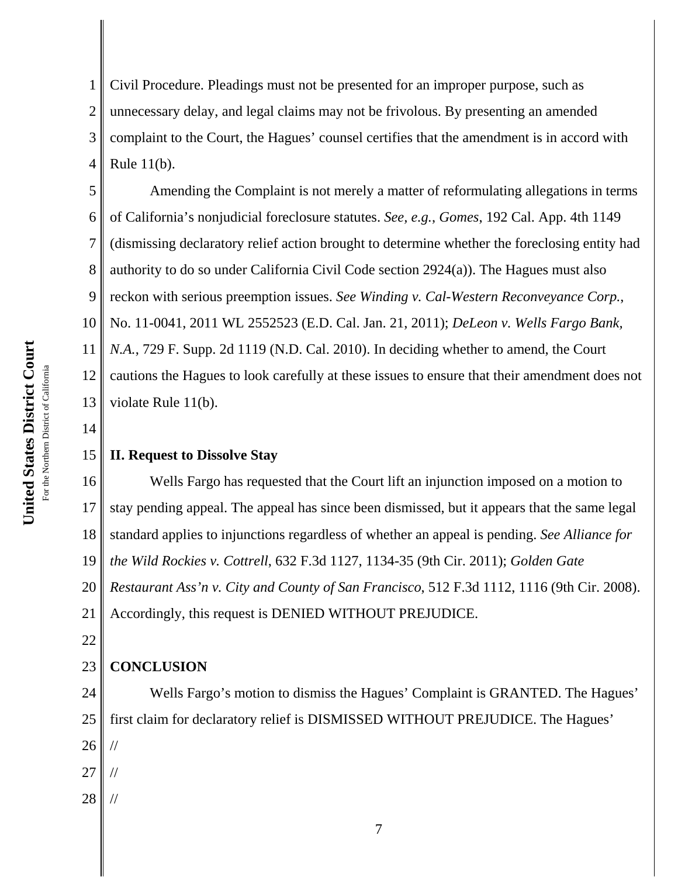1 2 3 4 Civil Procedure. Pleadings must not be presented for an improper purpose, such as unnecessary delay, and legal claims may not be frivolous. By presenting an amended complaint to the Court, the Hagues' counsel certifies that the amendment is in accord with Rule 11(b).

5 6 7 8 9 10 11 12 13 Amending the Complaint is not merely a matter of reformulating allegations in terms of California's nonjudicial foreclosure statutes. *See, e.g.*, *Gomes*, 192 Cal. App. 4th 1149 (dismissing declaratory relief action brought to determine whether the foreclosing entity had authority to do so under California Civil Code section 2924(a)). The Hagues must also reckon with serious preemption issues. *See Winding v. Cal-Western Reconveyance Corp.*, No. 11-0041, 2011 WL 2552523 (E.D. Cal. Jan. 21, 2011); *DeLeon v. Wells Fargo Bank, N.A.*, 729 F. Supp. 2d 1119 (N.D. Cal. 2010). In deciding whether to amend, the Court cautions the Hagues to look carefully at these issues to ensure that their amendment does not violate Rule 11(b).

14

# 15 **II. Request to Dissolve Stay**

16 17 18 19 20 21 Wells Fargo has requested that the Court lift an injunction imposed on a motion to stay pending appeal. The appeal has since been dismissed, but it appears that the same legal standard applies to injunctions regardless of whether an appeal is pending. *See Alliance for the Wild Rockies v. Cottrell*, 632 F.3d 1127, 1134-35 (9th Cir. 2011); *Golden Gate Restaurant Ass'n v. City and County of San Francisco*, 512 F.3d 1112, 1116 (9th Cir. 2008). Accordingly, this request is DENIED WITHOUT PREJUDICE.

22

# 23 **CONCLUSION**

24 25 26 27 Wells Fargo's motion to dismiss the Hagues' Complaint is GRANTED. The Hagues' first claim for declaratory relief is DISMISSED WITHOUT PREJUDICE. The Hagues' // //

28 //